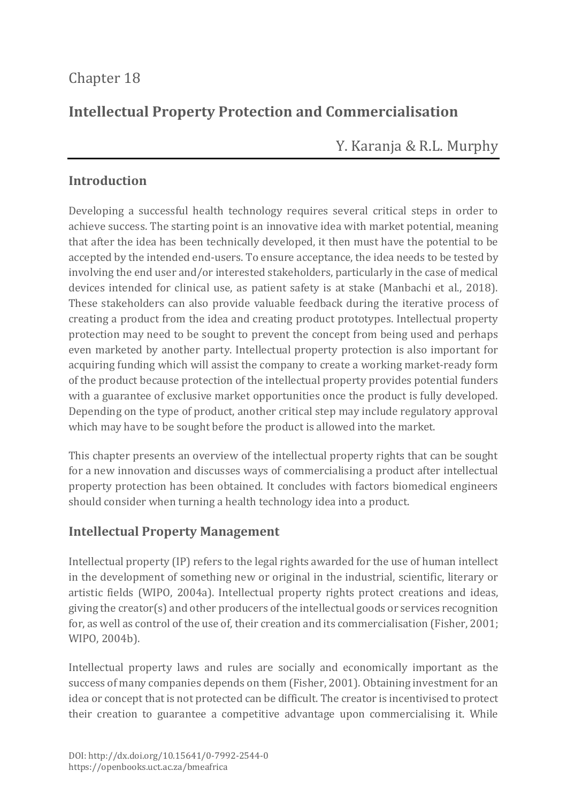# Chapter 18

# **Intellectual Property Protection and Commercialisation**

Y. Karanja & R.L. Murphy

### **Introduction**

Developing a successful health technology requires several critical steps in order to achieve success. The starting point is an innovative idea with market potential, meaning that after the idea has been technically developed, it then must have the potential to be accepted by the intended end-users. To ensure acceptance, the idea needs to be tested by involving the end user and/or interested stakeholders, particularly in the case of medical devices intended for clinical use, as patient safety is at stake (Manbachi et al., 2018). These stakeholders can also provide valuable feedback during the iterative process of creating a product from the idea and creating product prototypes. Intellectual property protection may need to be sought to prevent the concept from being used and perhaps even marketed by another party. Intellectual property protection is also important for acquiring funding which will assist the company to create a working market-ready form of the product because protection of the intellectual property provides potential funders with a guarantee of exclusive market opportunities once the product is fully developed. Depending on the type of product, another critical step may include regulatory approval which may have to be sought before the product is allowed into the market.

This chapter presents an overview of the intellectual property rights that can be sought for a new innovation and discusses ways of commercialising a product after intellectual property protection has been obtained. It concludes with factors biomedical engineers should consider when turning a health technology idea into a product.

## **Intellectual Property Management**

Intellectual property (IP) refers to the legal rights awarded for the use of human intellect in the development of something new or original in the industrial, scientific, literary or artistic fields (WIPO, 2004a). Intellectual property rights protect creations and ideas, giving the creator(s) and other producers of the intellectual goods or services recognition for, as well as control of the use of, their creation and its commercialisation (Fisher, 2001; WIPO, 2004b).

Intellectual property laws and rules are socially and economically important as the success of many companies depends on them (Fisher, 2001). Obtaining investment for an idea or concept that is not protected can be difficult. The creator is incentivised to protect their creation to guarantee a competitive advantage upon commercialising it. While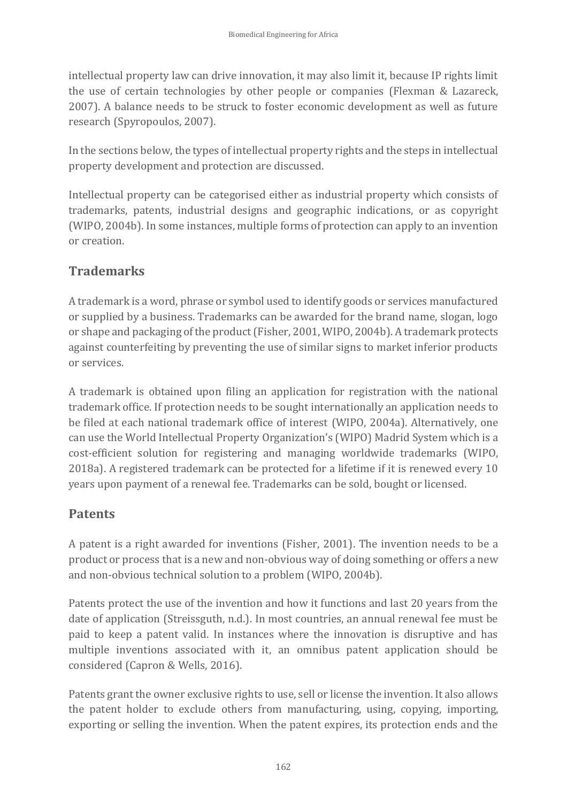intellectual property law can drive innovation, it may also limit it, because IP rights limit the use of certain technologies by other people or companies (Flexman & Lazareck, 2007). A balance needs to be struck to foster economic development as well as future research (Spyropoulos, 2007).

In the sections below, the types of intellectual property rights and the steps in intellectual property development and protection are discussed.

Intellectual property can be categorised either as industrial property which consists of trademarks, patents, industrial designs and geographic indications, or as copyright (WIPO, 2004b). In some instances, multiple forms of protection can apply to an invention or creation.

## **Trademarks**

A trademark is a word, phrase or symbol used to identify goods or services manufactured or supplied by a business. Trademarks can be awarded for the brand name, slogan, logo or shape and packaging of the product (Fisher, 2001, WIPO, 2004b). A trademark protects against counterfeiting by preventing the use of similar signs to market inferior products or services.

A trademark is obtained upon filing an application for registration with the national trademark office. If protection needs to be sought internationally an application needs to be filed at each national trademark office of interest (WIPO, 2004a). Alternatively, one can use the World Intellectual Property Organization's (WIPO) Madrid System which is a cost-efficient solution for registering and managing worldwide trademarks (WIPO, 2018a). A registered trademark can be protected for a lifetime if it is renewed every 10 years upon payment of a renewal fee. Trademarks can be sold, bought or licensed.

## **Patents**

A patent is a right awarded for inventions (Fisher, 2001). The invention needs to be a product or process that is a new and non-obvious way of doing something or offers a new and non-obvious technical solution to a problem (WIPO, 2004b).

Patents protect the use of the invention and how it functions and last 20 years from the date of application (Streissguth, n.d.). In most countries, an annual renewal fee must be paid to keep a patent valid. In instances where the innovation is disruptive and has multiple inventions associated with it, an omnibus patent application should be considered (Capron & Wells, 2016).

Patents grant the owner exclusive rights to use, sell or license the invention. It also allows the patent holder to exclude others from manufacturing, using, copying, importing, exporting or selling the invention. When the patent expires, its protection ends and the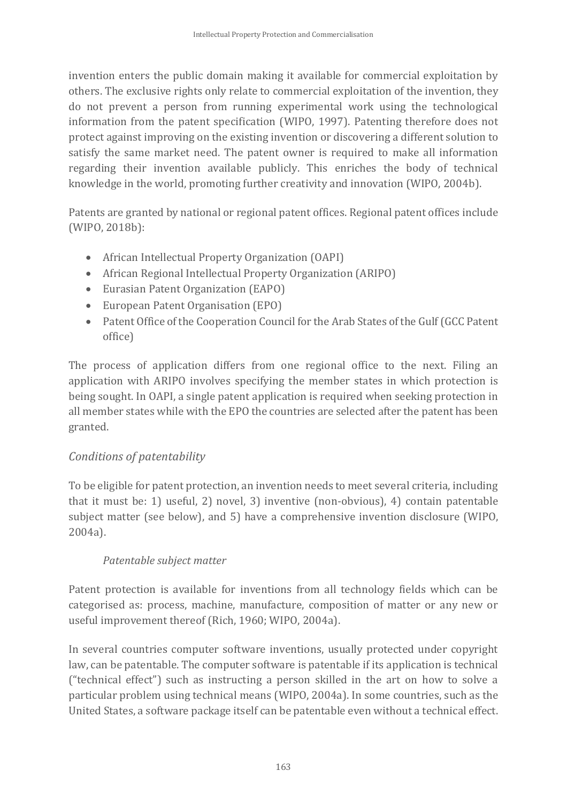invention enters the public domain making it available for commercial exploitation by others. The exclusive rights only relate to commercial exploitation of the invention, they do not prevent a person from running experimental work using the technological information from the patent specification (WIPO, 1997). Patenting therefore does not protect against improving on the existing invention or discovering a different solution to satisfy the same market need. The patent owner is required to make all information regarding their invention available publicly. This enriches the body of technical knowledge in the world, promoting further creativity and innovation (WIPO, 2004b).

Patents are granted by national or regional patent offices. Regional patent offices include (WIPO, 2018b):

- African Intellectual Property Organization (OAPI)
- African Regional Intellectual Property Organization (ARIPO)
- Eurasian Patent Organization (EAPO)
- European Patent Organisation (EPO)
- Patent Office of the Cooperation Council for the Arab States of the Gulf (GCC Patent) office)

The process of application differs from one regional office to the next. Filing an application with ARIPO involves specifying the member states in which protection is being sought. In OAPI, a single patent application is required when seeking protection in all member states while with the EPO the countries are selected after the patent has been granted.

### *Conditions of patentability*

To be eligible for patent protection, an invention needs to meet several criteria, including that it must be: 1) useful, 2) novel, 3) inventive (non-obvious), 4) contain patentable subject matter (see below), and 5) have a comprehensive invention disclosure (WIPO, 2004a).

### *Patentable subject matter*

Patent protection is available for inventions from all technology fields which can be categorised as: process, machine, manufacture, composition of matter or any new or useful improvement thereof (Rich, 1960; WIPO, 2004a).

In several countries computer software inventions, usually protected under copyright law, can be patentable. The computer software is patentable if its application is technical ("technical effect") such as instructing a person skilled in the art on how to solve a particular problem using technical means (WIPO, 2004a). In some countries, such as the United States, a software package itself can be patentable even without a technical effect.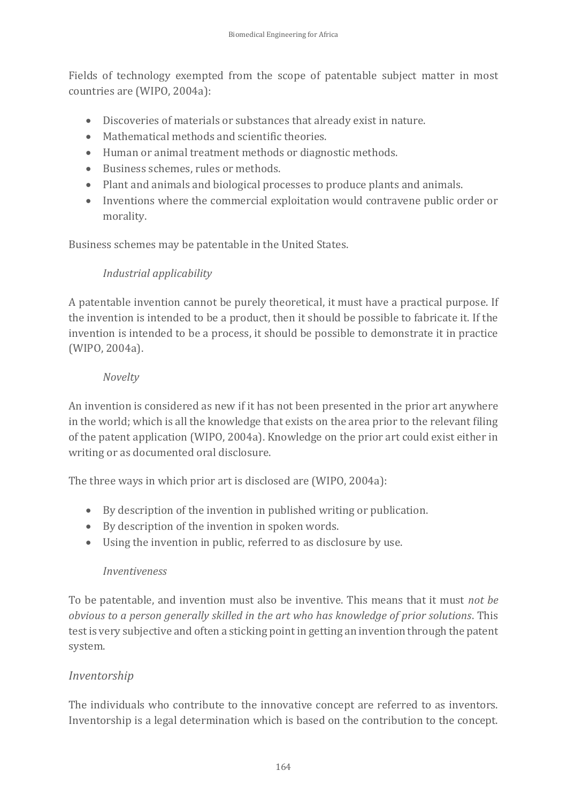Fields of technology exempted from the scope of patentable subject matter in most countries are (WIPO, 2004a):

- Discoveries of materials or substances that already exist in nature.
- Mathematical methods and scientific theories.
- Human or animal treatment methods or diagnostic methods.
- Business schemes, rules or methods.
- Plant and animals and biological processes to produce plants and animals.
- Inventions where the commercial exploitation would contravene public order or morality.

Business schemes may be patentable in the United States.

### *Industrial applicability*

A patentable invention cannot be purely theoretical, it must have a practical purpose. If the invention is intended to be a product, then it should be possible to fabricate it. If the invention is intended to be a process, it should be possible to demonstrate it in practice (WIPO, 2004a).

#### *Novelty*

An invention is considered as new if it has not been presented in the prior art anywhere in the world; which is all the knowledge that exists on the area prior to the relevant filing of the patent application (WIPO, 2004a). Knowledge on the prior art could exist either in writing or as documented oral disclosure.

The three ways in which prior art is disclosed are (WIPO, 2004a):

- By description of the invention in published writing or publication.
- By description of the invention in spoken words.
- Using the invention in public, referred to as disclosure by use.

### *Inventiveness*

To be patentable, and invention must also be inventive. This means that it must *not be obvious to a person generally skilled in the art who has knowledge of prior solutions*. This test is very subjective and often a sticking point in getting an invention through the patent system.

## *Inventorship*

The individuals who contribute to the innovative concept are referred to as inventors. Inventorship is a legal determination which is based on the contribution to the concept.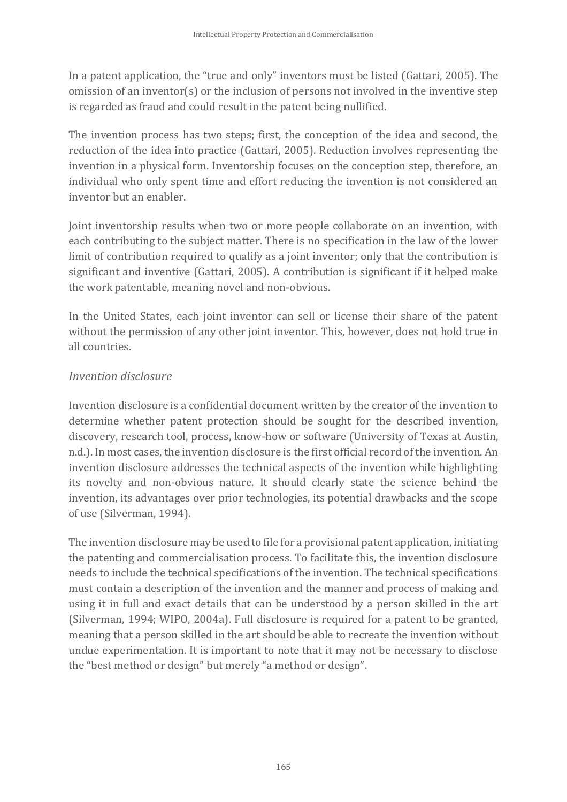In a patent application, the "true and only" inventors must be listed (Gattari, 2005). The omission of an inventor(s) or the inclusion of persons not involved in the inventive step is regarded as fraud and could result in the patent being nullified.

The invention process has two steps; first, the conception of the idea and second, the reduction of the idea into practice (Gattari, 2005). Reduction involves representing the invention in a physical form. Inventorship focuses on the conception step, therefore, an individual who only spent time and effort reducing the invention is not considered an inventor but an enabler.

Joint inventorship results when two or more people collaborate on an invention, with each contributing to the subject matter. There is no specification in the law of the lower limit of contribution required to qualify as a joint inventor; only that the contribution is significant and inventive (Gattari, 2005). A contribution is significant if it helped make the work patentable, meaning novel and non-obvious.

In the United States, each joint inventor can sell or license their share of the patent without the permission of any other joint inventor. This, however, does not hold true in all countries.

### *Invention disclosure*

Invention disclosure is a confidential document written by the creator of the invention to determine whether patent protection should be sought for the described invention, discovery, research tool, process, know-how or software (University of Texas at Austin, n.d.). In most cases, the invention disclosure is the first official record of the invention. An invention disclosure addresses the technical aspects of the invention while highlighting its novelty and non-obvious nature. It should clearly state the science behind the invention, its advantages over prior technologies, its potential drawbacks and the scope of use (Silverman, 1994).

The invention disclosure may be used to file for a provisional patent application, initiating the patenting and commercialisation process. To facilitate this, the invention disclosure needs to include the technical specifications of the invention. The technical specifications must contain a description of the invention and the manner and process of making and using it in full and exact details that can be understood by a person skilled in the art (Silverman, 1994; WIPO, 2004a). Full disclosure is required for a patent to be granted, meaning that a person skilled in the art should be able to recreate the invention without undue experimentation. It is important to note that it may not be necessary to disclose the "best method or design" but merely "a method or design".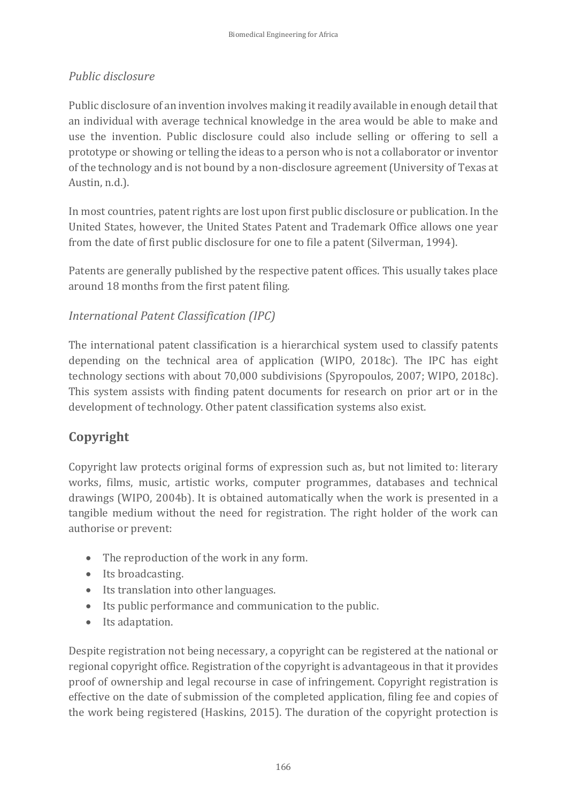## *Public disclosure*

Public disclosure of an invention involves making it readily available in enough detail that an individual with average technical knowledge in the area would be able to make and use the invention. Public disclosure could also include selling or offering to sell a prototype or showing or telling the ideas to a person who is not a collaborator or inventor of the technology and is not bound by a non-disclosure agreement (University of Texas at Austin, n.d.).

In most countries, patent rights are lost upon first public disclosure or publication. In the United States, however, the United States Patent and Trademark Office allows one year from the date of first public disclosure for one to file a patent (Silverman, 1994).

Patents are generally published by the respective patent offices. This usually takes place around 18 months from the first patent filing.

## *International Patent Classification (IPC)*

The international patent classification is a hierarchical system used to classify patents depending on the technical area of application (WIPO, 2018c). The IPC has eight technology sections with about 70,000 subdivisions (Spyropoulos, 2007; WIPO, 2018c). This system assists with finding patent documents for research on prior art or in the development of technology. Other patent classification systems also exist.

# **Copyright**

Copyright law protects original forms of expression such as, but not limited to: literary works, films, music, artistic works, computer programmes, databases and technical drawings (WIPO, 2004b). It is obtained automatically when the work is presented in a tangible medium without the need for registration. The right holder of the work can authorise or prevent:

- The reproduction of the work in any form.
- Its broadcasting.
- Its translation into other languages.
- Its public performance and communication to the public.
- Its adaptation.

Despite registration not being necessary, a copyright can be registered at the national or regional copyright office. Registration of the copyright is advantageous in that it provides proof of ownership and legal recourse in case of infringement. Copyright registration is effective on the date of submission of the completed application, filing fee and copies of the work being registered (Haskins, 2015). The duration of the copyright protection is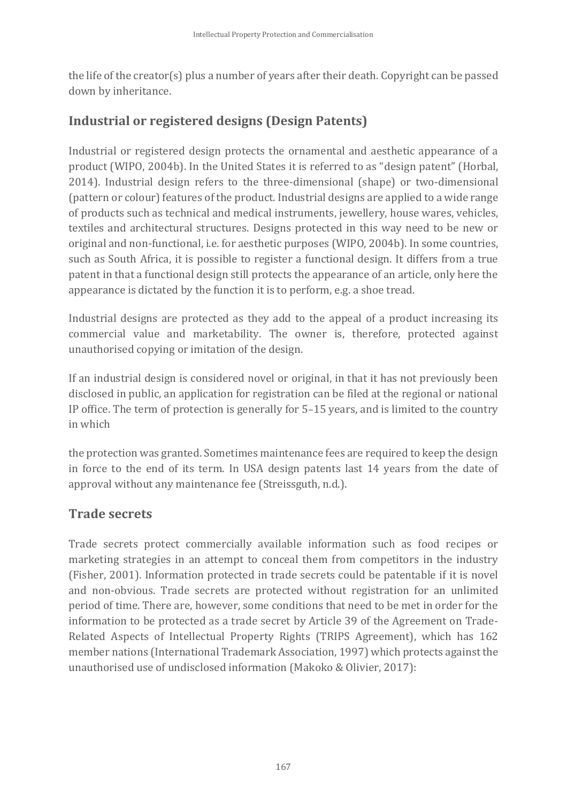the life of the creator(s) plus a number of years after their death. Copyright can be passed down by inheritance.

# **Industrial or registered designs (Design Patents)**

Industrial or registered design protects the ornamental and aesthetic appearance of a product (WIPO, 2004b). In the United States it is referred to as "design patent" (Horbal, 2014). Industrial design refers to the three-dimensional (shape) or two-dimensional (pattern or colour) features of the product. Industrial designs are applied to a wide range of products such as technical and medical instruments, jewellery, house wares, vehicles, textiles and architectural structures. Designs protected in this way need to be new or original and non-functional, i.e. for aesthetic purposes (WIPO, 2004b). In some countries, such as South Africa, it is possible to register a functional design. It differs from a true patent in that a functional design still protects the appearance of an article, only here the appearance is dictated by the function it is to perform, e.g. a shoe tread.

Industrial designs are protected as they add to the appeal of a product increasing its commercial value and marketability. The owner is, therefore, protected against unauthorised copying or imitation of the design.

If an industrial design is considered novel or original, in that it has not previously been disclosed in public, an application for registration can be filed at the regional or national IP office. The term of protection is generally for 5–15 years, and is limited to the country in which

the protection was granted. Sometimes maintenance fees are required to keep the design in force to the end of its term. In USA design patents last 14 years from the date of approval without any maintenance fee (Streissguth, n.d.).

## **Trade secrets**

Trade secrets protect commercially available information such as food recipes or marketing strategies in an attempt to conceal them from competitors in the industry (Fisher, 2001). Information protected in trade secrets could be patentable if it is novel and non-obvious. Trade secrets are protected without registration for an unlimited period of time. There are, however, some conditions that need to be met in order for the information to be protected as a trade secret by Article 39 of the Agreement on Trade-Related Aspects of Intellectual Property Rights (TRIPS Agreement), which has 162 member nations (International Trademark Association, 1997) which protects against the unauthorised use of undisclosed information (Makoko & Olivier, 2017):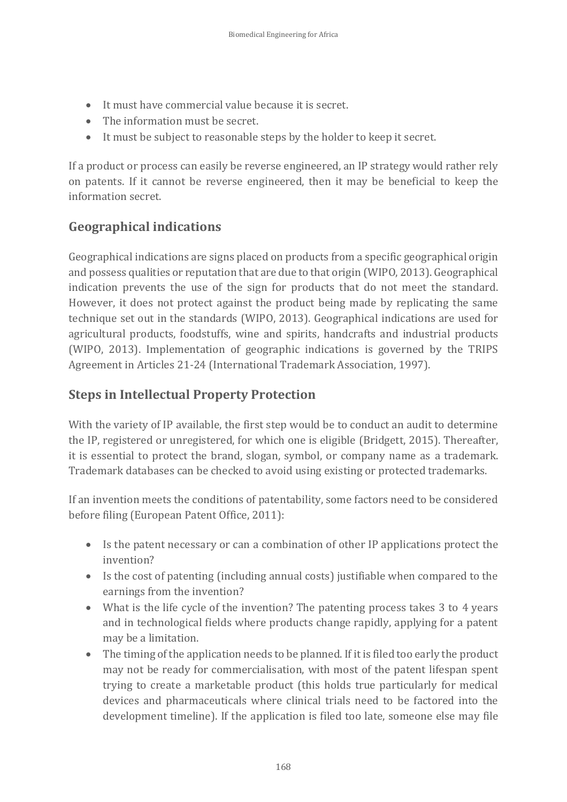- It must have commercial value because it is secret.
- The information must be secret.
- It must be subject to reasonable steps by the holder to keep it secret.

If a product or process can easily be reverse engineered, an IP strategy would rather rely on patents. If it cannot be reverse engineered, then it may be beneficial to keep the information secret.

## **Geographical indications**

Geographical indications are signs placed on products from a specific geographical origin and possess qualities or reputation that are due to that origin (WIPO, 2013). Geographical indication prevents the use of the sign for products that do not meet the standard. However, it does not protect against the product being made by replicating the same technique set out in the standards (WIPO, 2013). Geographical indications are used for agricultural products, foodstuffs, wine and spirits, handcrafts and industrial products (WIPO, 2013). Implementation of geographic indications is governed by the TRIPS Agreement in Articles 21-24 (International Trademark Association, 1997).

## **Steps in Intellectual Property Protection**

With the variety of IP available, the first step would be to conduct an audit to determine the IP, registered or unregistered, for which one is eligible (Bridgett, 2015). Thereafter, it is essential to protect the brand, slogan, symbol, or company name as a trademark. Trademark databases can be checked to avoid using existing or protected trademarks.

If an invention meets the conditions of patentability, some factors need to be considered before filing (European Patent Office, 2011):

- Is the patent necessary or can a combination of other IP applications protect the invention?
- Is the cost of patenting (including annual costs) justifiable when compared to the earnings from the invention?
- What is the life cycle of the invention? The patenting process takes 3 to 4 years and in technological fields where products change rapidly, applying for a patent may be a limitation.
- The timing of the application needs to be planned. If it is filed too early the product may not be ready for commercialisation, with most of the patent lifespan spent trying to create a marketable product (this holds true particularly for medical devices and pharmaceuticals where clinical trials need to be factored into the development timeline). If the application is filed too late, someone else may file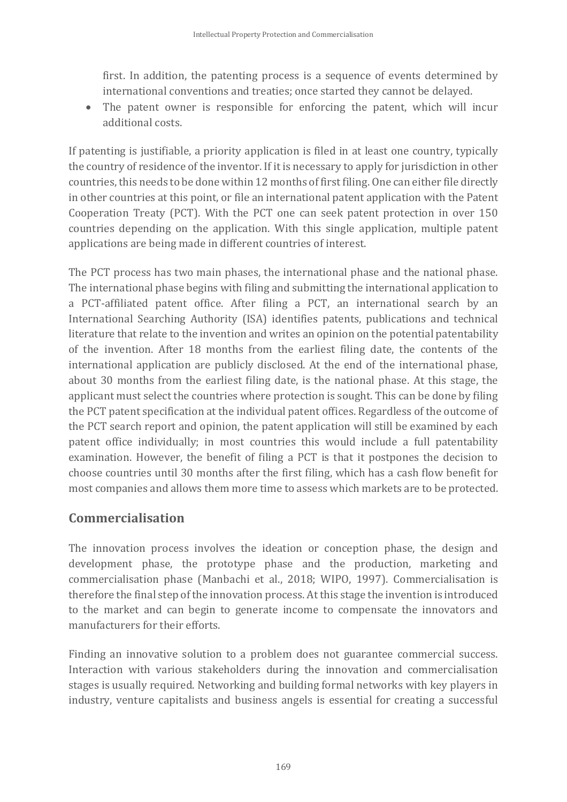first. In addition, the patenting process is a sequence of events determined by international conventions and treaties; once started they cannot be delayed.

• The patent owner is responsible for enforcing the patent, which will incur additional costs.

If patenting is justifiable, a priority application is filed in at least one country, typically the country of residence of the inventor. If it is necessary to apply for jurisdiction in other countries, this needs to be done within 12 months of first filing. One can either file directly in other countries at this point, or file an international patent application with the Patent Cooperation Treaty (PCT). With the PCT one can seek patent protection in over 150 countries depending on the application. With this single application, multiple patent applications are being made in different countries of interest.

The PCT process has two main phases, the international phase and the national phase. The international phase begins with filing and submitting the international application to a PCT-affiliated patent office. After filing a PCT, an international search by an International Searching Authority (ISA) identifies patents, publications and technical literature that relate to the invention and writes an opinion on the potential patentability of the invention. After 18 months from the earliest filing date, the contents of the international application are publicly disclosed. At the end of the international phase, about 30 months from the earliest filing date, is the national phase. At this stage, the applicant must select the countries where protection is sought. This can be done by filing the PCT patent specification at the individual patent offices. Regardless of the outcome of the PCT search report and opinion, the patent application will still be examined by each patent office individually; in most countries this would include a full patentability examination. However, the benefit of filing a PCT is that it postpones the decision to choose countries until 30 months after the first filing, which has a cash flow benefit for most companies and allows them more time to assess which markets are to be protected.

# **Commercialisation**

The innovation process involves the ideation or conception phase, the design and development phase, the prototype phase and the production, marketing and commercialisation phase (Manbachi et al., 2018; WIPO, 1997). Commercialisation is therefore the final step of the innovation process. At this stage the invention is introduced to the market and can begin to generate income to compensate the innovators and manufacturers for their efforts.

Finding an innovative solution to a problem does not guarantee commercial success. Interaction with various stakeholders during the innovation and commercialisation stages is usually required. Networking and building formal networks with key players in industry, venture capitalists and business angels is essential for creating a successful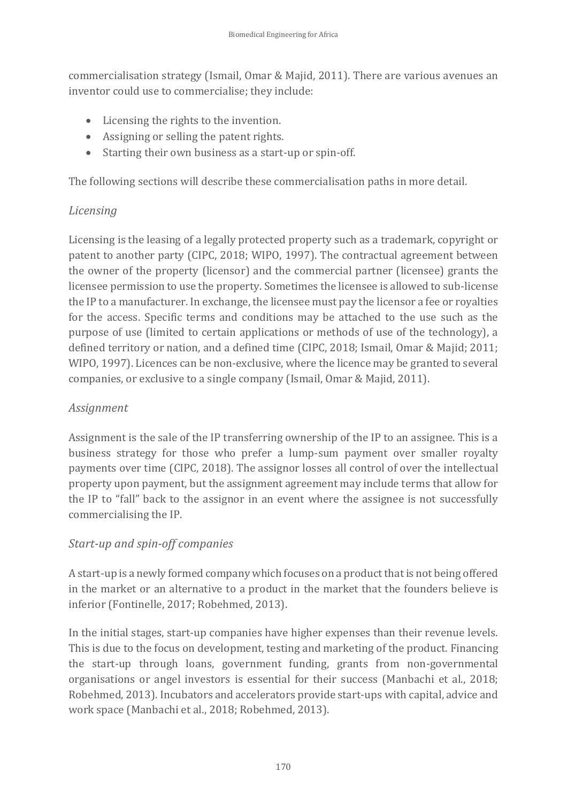commercialisation strategy (Ismail, Omar & Majid, 2011). There are various avenues an inventor could use to commercialise; they include:

- Licensing the rights to the invention.
- Assigning or selling the patent rights.
- Starting their own business as a start-up or spin-off.

The following sections will describe these commercialisation paths in more detail.

## *Licensing*

Licensing is the leasing of a legally protected property such as a trademark, copyright or patent to another party (CIPC, 2018; WIPO, 1997). The contractual agreement between the owner of the property (licensor) and the commercial partner (licensee) grants the licensee permission to use the property. Sometimes the licensee is allowed to sub-license the IP to a manufacturer. In exchange, the licensee must pay the licensor a fee or royalties for the access. Specific terms and conditions may be attached to the use such as the purpose of use (limited to certain applications or methods of use of the technology), a defined territory or nation, and a defined time (CIPC, 2018; Ismail, Omar & Majid; 2011; WIPO, 1997). Licences can be non-exclusive, where the licence may be granted to several companies, or exclusive to a single company (Ismail, Omar & Majid, 2011).

### *Assignment*

Assignment is the sale of the IP transferring ownership of the IP to an assignee. This is a business strategy for those who prefer a lump-sum payment over smaller royalty payments over time (CIPC, 2018). The assignor losses all control of over the intellectual property upon payment, but the assignment agreement may include terms that allow for the IP to "fall" back to the assignor in an event where the assignee is not successfully commercialising the IP.

## *Start-up and spin-off companies*

A start-up is a newly formed company which focuses on a product that is not being offered in the market or an alternative to a product in the market that the founders believe is inferior (Fontinelle, 2017; Robehmed, 2013).

In the initial stages, start-up companies have higher expenses than their revenue levels. This is due to the focus on development, testing and marketing of the product. Financing the start-up through loans, government funding, grants from non-governmental organisations or angel investors is essential for their success (Manbachi et al., 2018; Robehmed, 2013). Incubators and accelerators provide start-ups with capital, advice and work space (Manbachi et al., 2018; Robehmed, 2013).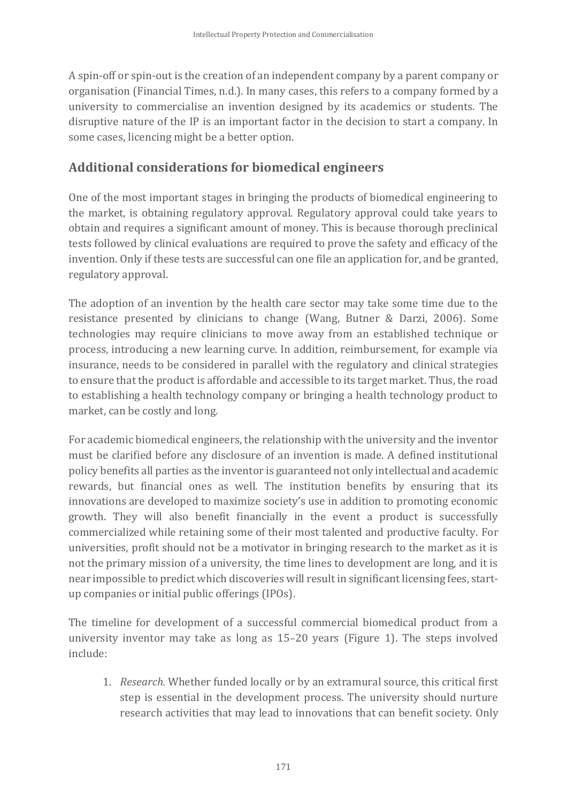A spin-off or spin-out is the creation of an independent company by a parent company or organisation (Financial Times, n.d.). In many cases, this refers to a company formed by a university to commercialise an invention designed by its academics or students. The disruptive nature of the IP is an important factor in the decision to start a company. In some cases, licencing might be a better option.

## **Additional considerations for biomedical engineers**

One of the most important stages in bringing the products of biomedical engineering to the market, is obtaining regulatory approval. Regulatory approval could take years to obtain and requires a significant amount of money. This is because thorough preclinical tests followed by clinical evaluations are required to prove the safety and efficacy of the invention. Only if these tests are successful can one file an application for, and be granted, regulatory approval.

The adoption of an invention by the health care sector may take some time due to the resistance presented by clinicians to change (Wang, Butner & Darzi, 2006). Some technologies may require clinicians to move away from an established technique or process, introducing a new learning curve. In addition, reimbursement, for example via insurance, needs to be considered in parallel with the regulatory and clinical strategies to ensure that the product is affordable and accessible to its target market. Thus, the road to establishing a health technology company or bringing a health technology product to market, can be costly and long.

For academic biomedical engineers, the relationship with the university and the inventor must be clarified before any disclosure of an invention is made. A defined institutional policy benefits all parties as the inventor is guaranteed not only intellectual and academic rewards, but financial ones as well. The institution benefits by ensuring that its innovations are developed to maximize society's use in addition to promoting economic growth. They will also benefit financially in the event a product is successfully commercialized while retaining some of their most talented and productive faculty. For universities, profit should not be a motivator in bringing research to the market as it is not the primary mission of a university, the time lines to development are long, and it is near impossible to predict which discoveries will result in significant licensing fees, startup companies or initial public offerings (IPOs).

The timeline for development of a successful commercial biomedical product from a university inventor may take as long as 15–20 years (Figure 1). The steps involved include:

1. *Research.* Whether funded locally or by an extramural source, this critical first step is essential in the development process. The university should nurture research activities that may lead to innovations that can benefit society. Only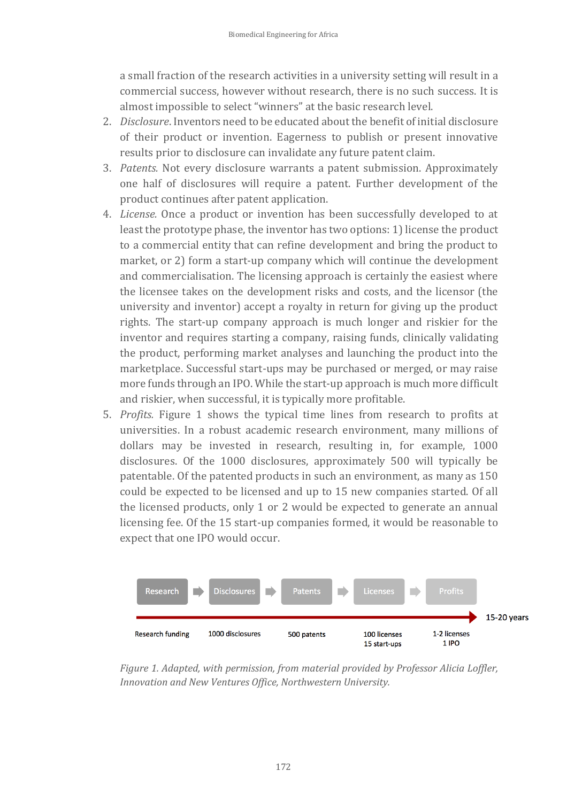a small fraction of the research activities in a university setting will result in a commercial success, however without research, there is no such success. It is almost impossible to select "winners" at the basic research level.

- 2. *Disclosure*. Inventors need to be educated about the benefit of initial disclosure of their product or invention. Eagerness to publish or present innovative results prior to disclosure can invalidate any future patent claim.
- 3. *Patents.* Not every disclosure warrants a patent submission. Approximately one half of disclosures will require a patent. Further development of the product continues after patent application.
- 4. *License.* Once a product or invention has been successfully developed to at least the prototype phase, the inventor has two options: 1) license the product to a commercial entity that can refine development and bring the product to market, or 2) form a start-up company which will continue the development and commercialisation. The licensing approach is certainly the easiest where the licensee takes on the development risks and costs, and the licensor (the university and inventor) accept a royalty in return for giving up the product rights. The start-up company approach is much longer and riskier for the inventor and requires starting a company, raising funds, clinically validating the product, performing market analyses and launching the product into the marketplace. Successful start-ups may be purchased or merged, or may raise more funds through an IPO. While the start-up approach is much more difficult and riskier, when successful, it is typically more profitable.
- 5. *Profits.* Figure 1 shows the typical time lines from research to profits at universities. In a robust academic research environment, many millions of dollars may be invested in research, resulting in, for example, 1000 disclosures. Of the 1000 disclosures, approximately 500 will typically be patentable. Of the patented products in such an environment, as many as 150 could be expected to be licensed and up to 15 new companies started. Of all the licensed products, only 1 or 2 would be expected to generate an annual licensing fee. Of the 15 start-up companies formed, it would be reasonable to expect that one IPO would occur.



*Figure 1. Adapted, with permission, from material provided by Professor Alicia Loffler, Innovation and New Ventures Office, Northwestern University.*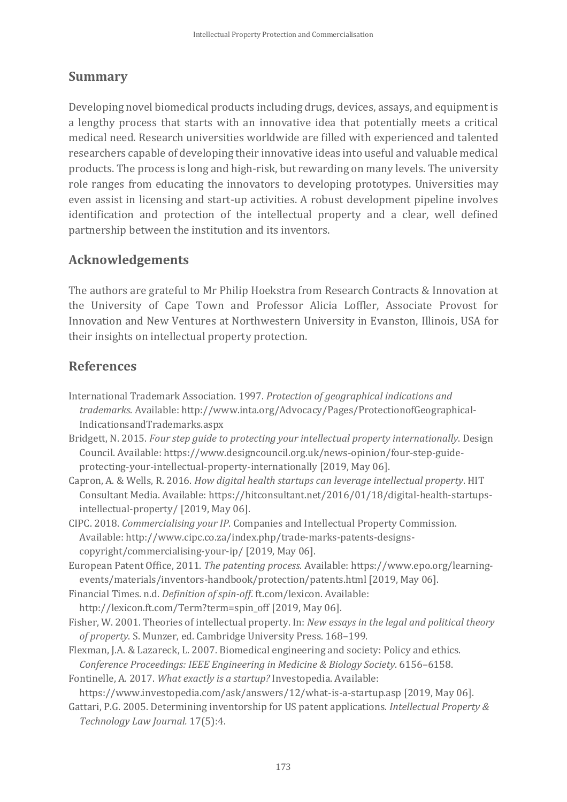## **Summary**

Developing novel biomedical products including drugs, devices, assays, and equipment is a lengthy process that starts with an innovative idea that potentially meets a critical medical need. Research universities worldwide are filled with experienced and talented researchers capable of developing their innovative ideas into useful and valuable medical products. The process is long and high-risk, but rewarding on many levels. The university role ranges from educating the innovators to developing prototypes. Universities may even assist in licensing and start-up activities. A robust development pipeline involves identification and protection of the intellectual property and a clear, well defined partnership between the institution and its inventors.

### **Acknowledgements**

The authors are grateful to Mr Philip Hoekstra from Research Contracts & Innovation at the University of Cape Town and Professor Alicia Loffler, Associate Provost for Innovation and New Ventures at Northwestern University in Evanston, Illinois, USA for their insights on intellectual property protection.

### **References**

- International Trademark Association. 1997. *Protection of geographical indications and trademarks*. Available: http://www.inta.org/Advocacy/Pages/ProtectionofGeographical-IndicationsandTrademarks.aspx
- Bridgett, N. 2015. *Four step guide to protecting your intellectual property internationally*. Design Council. Available: https://www.designcouncil.org.uk/news-opinion/four-step-guideprotecting-your-intellectual-property-internationally [2019, May 06].
- Capron, A. & Wells, R. 2016. *How digital health startups can leverage intellectual property*. HIT Consultant Media. Available: https://hitconsultant.net/2016/01/18/digital-health-startupsintellectual-property/ [2019, May 06].
- CIPC. 2018. *Commercialising your IP*. Companies and Intellectual Property Commission. Available: http://www.cipc.co.za/index.php/trade-marks-patents-designscopyright/commercialising-your-ip/ [2019, May 06].
- European Patent Office, 2011. *The patenting process*. Available: https://www.epo.org/learningevents/materials/inventors-handbook/protection/patents.html [2019, May 06].
- Financial Times. n.d. *Definition of spin-off*. ft.com/lexicon. Available: http://lexicon.ft.com/Term?term=spin\_off [2019, May 06].
- Fisher, W. 2001. Theories of intellectual property. In: *New essays in the legal and political theory of property*. S. Munzer, ed. Cambridge University Press. 168–199.
- Flexman, J.A. & Lazareck, L. 2007. Biomedical engineering and society: Policy and ethics. *Conference Proceedings: IEEE Engineering in Medicine & Biology Society*. 6156–6158.

Fontinelle, A. 2017. *What exactly is a startup?* Investopedia. Available:

https://www.investopedia.com/ask/answers/12/what-is-a-startup.asp [2019, May 06].

Gattari, P.G. 2005. Determining inventorship for US patent applications. *Intellectual Property & Technology Law Journal.* 17(5):4.